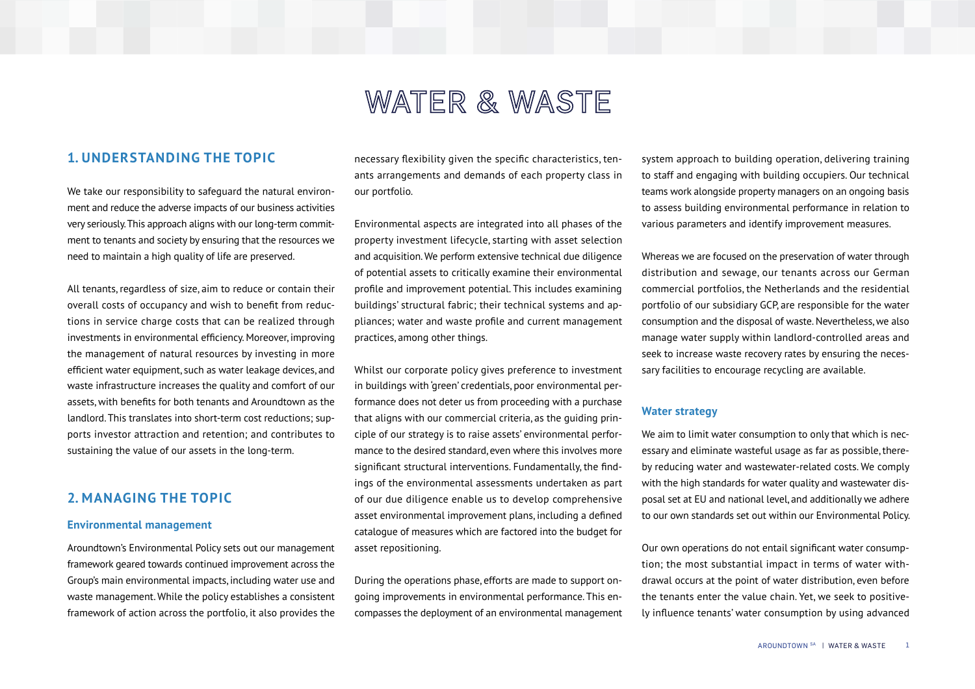# WATER & WASTE

# **1. UNDERSTANDING THE TOPIC**

We take our responsibility to safeguard the natural environment and reduce the adverse impacts of our business activities very seriously. This approach aligns with our long-term commitment to tenants and society by ensuring that the resources we need to maintain a high quality of life are preserved.

All tenants, regardless of size, aim to reduce or contain their overall costs of occupancy and wish to benefit from reductions in service charge costs that can be realized through investments in environmental efficiency. Moreover, improving the management of natural resources by investing in more efficient water equipment, such as water leakage devices, and waste infrastructure increases the quality and comfort of our assets, with benefits for both tenants and Aroundtown as the landlord. This translates into short-term cost reductions; supports investor attraction and retention; and contributes to sustaining the value of our assets in the long-term.

# **2. MANAGING THE TOPIC**

#### **Environmental management**

Aroundtown's Environmental Policy sets out our management framework geared towards continued improvement across the Group's main environmental impacts, including water use and waste management. While the policy establishes a consistent framework of action across the portfolio, it also provides the necessary flexibility given the specific characteristics, tenants arrangements and demands of each property class in our portfolio.

Environmental aspects are integrated into all phases of the property investment lifecycle, starting with asset selection and acquisition. We perform extensive technical due diligence of potential assets to critically examine their environmental profile and improvement potential. This includes examining buildings' structural fabric; their technical systems and appliances; water and waste profile and current management practices, among other things.

Whilst our corporate policy gives preference to investment in buildings with 'green' credentials, poor environmental performance does not deter us from proceeding with a purchase that aligns with our commercial criteria, as the guiding principle of our strategy is to raise assets' environmental performance to the desired standard, even where this involves more significant structural interventions. Fundamentally, the findings of the environmental assessments undertaken as part of our due diligence enable us to develop comprehensive asset environmental improvement plans, including a defined catalogue of measures which are factored into the budget for asset repositioning.

During the operations phase, efforts are made to support ongoing improvements in environmental performance. This encompasses the deployment of an environmental management system approach to building operation, delivering training to staff and engaging with building occupiers. Our technical teams work alongside property managers on an ongoing basis to assess building environmental performance in relation to various parameters and identify improvement measures.

Whereas we are focused on the preservation of water through distribution and sewage, our tenants across our German commercial portfolios, the Netherlands and the residential portfolio of our subsidiary GCP, are responsible for the water consumption and the disposal of waste. Nevertheless, we also manage water supply within landlord-controlled areas and seek to increase waste recovery rates by ensuring the necessary facilities to encourage recycling are available.

#### **Water strategy**

We aim to limit water consumption to only that which is necessary and eliminate wasteful usage as far as possible, thereby reducing water and wastewater-related costs. We comply with the high standards for water quality and wastewater disposal set at EU and national level, and additionally we adhere to our own standards set out within our Environmental Policy.

Our own operations do not entail significant water consumption; the most substantial impact in terms of water withdrawal occurs at the point of water distribution, even before the tenants enter the value chain. Yet, we seek to positively influence tenants' water consumption by using advanced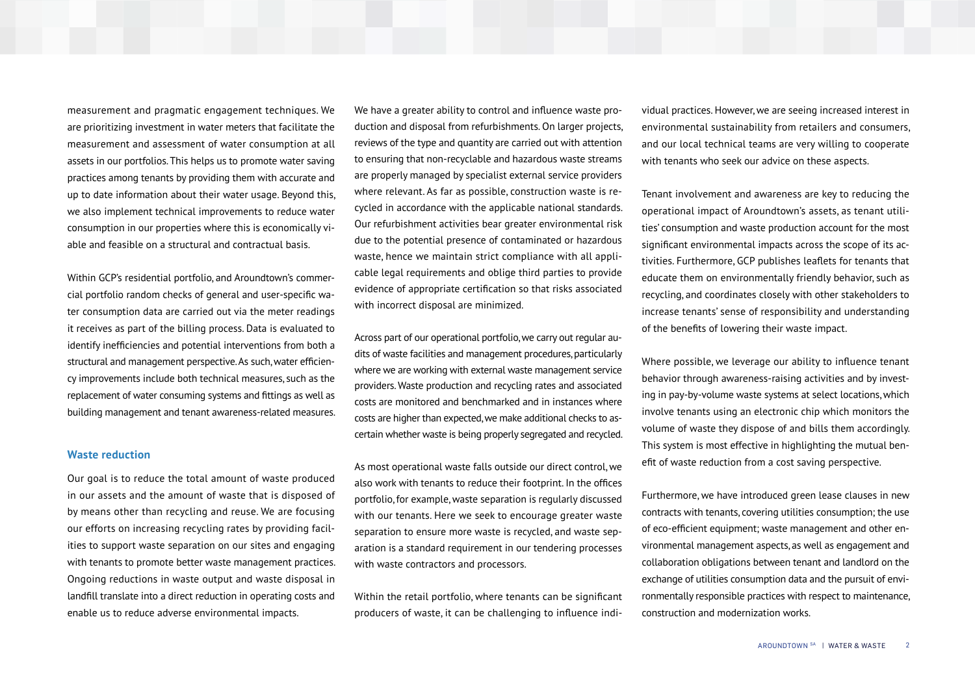measurement and pragmatic engagement techniques. We are prioritizing investment in water meters that facilitate the measurement and assessment of water consumption at all assets in our portfolios. This helps us to promote water saving practices among tenants by providing them with accurate and up to date information about their water usage. Beyond this, we also implement technical improvements to reduce water consumption in our properties where this is economically viable and feasible on a structural and contractual basis.

Within GCP's residential portfolio, and Aroundtown's commercial portfolio random checks of general and user-specific water consumption data are carried out via the meter readings it receives as part of the billing process. Data is evaluated to identify inefficiencies and potential interventions from both a structural and management perspective. As such, water efficiency improvements include both technical measures, such as the replacement of water consuming systems and fittings as well as building management and tenant awareness-related measures.

#### **Waste reduction**

Our goal is to reduce the total amount of waste produced in our assets and the amount of waste that is disposed of by means other than recycling and reuse. We are focusing our efforts on increasing recycling rates by providing facilities to support waste separation on our sites and engaging with tenants to promote better waste management practices. Ongoing reductions in waste output and waste disposal in landfill translate into a direct reduction in operating costs and enable us to reduce adverse environmental impacts.

We have a greater ability to control and influence waste production and disposal from refurbishments. On larger projects, reviews of the type and quantity are carried out with attention to ensuring that non-recyclable and hazardous waste streams are properly managed by specialist external service providers where relevant. As far as possible, construction waste is recycled in accordance with the applicable national standards. Our refurbishment activities bear greater environmental risk due to the potential presence of contaminated or hazardous waste, hence we maintain strict compliance with all applicable legal requirements and oblige third parties to provide evidence of appropriate certification so that risks associated with incorrect disposal are minimized.

Across part of our operational portfolio, we carry out regular audits of waste facilities and management procedures, particularly where we are working with external waste management service providers. Waste production and recycling rates and associated costs are monitored and benchmarked and in instances where costs are higher than expected, we make additional checks to ascertain whether waste is being properly segregated and recycled.

As most operational waste falls outside our direct control, we also work with tenants to reduce their footprint. In the offices portfolio, for example, waste separation is regularly discussed with our tenants. Here we seek to encourage greater waste separation to ensure more waste is recycled, and waste separation is a standard requirement in our tendering processes with waste contractors and processors.

Within the retail portfolio, where tenants can be significant producers of waste, it can be challenging to influence individual practices. However, we are seeing increased interest in environmental sustainability from retailers and consumers, and our local technical teams are very willing to cooperate with tenants who seek our advice on these aspects.

Tenant involvement and awareness are key to reducing the operational impact of Aroundtown's assets, as tenant utilities' consumption and waste production account for the most significant environmental impacts across the scope of its activities. Furthermore, GCP publishes leaflets for tenants that educate them on environmentally friendly behavior, such as recycling, and coordinates closely with other stakeholders to increase tenants' sense of responsibility and understanding of the benefits of lowering their waste impact.

Where possible, we leverage our ability to influence tenant behavior through awareness-raising activities and by investing in pay-by-volume waste systems at select locations, which involve tenants using an electronic chip which monitors the volume of waste they dispose of and bills them accordingly. This system is most effective in highlighting the mutual benefit of waste reduction from a cost saving perspective.

Furthermore, we have introduced green lease clauses in new contracts with tenants, covering utilities consumption; the use of eco-efficient equipment; waste management and other environmental management aspects, as well as engagement and collaboration obligations between tenant and landlord on the exchange of utilities consumption data and the pursuit of environmentally responsible practices with respect to maintenance, construction and modernization works.